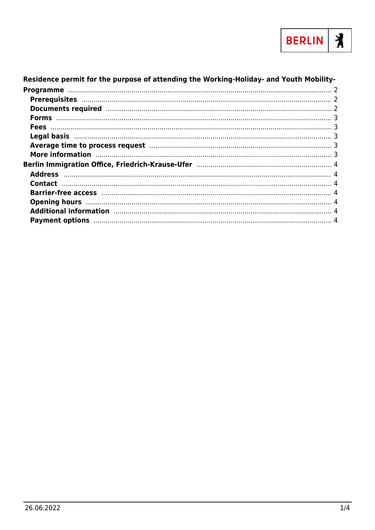

#### Residence permit for the purpose of attending the Working-Holiday- and Youth Mobility-Average time to process request manufacture and the contract of 3 More information manufactured and the contract of the contract of the contract of the contract of the contract of the contract of the contract of the contract of the contract of the contract of the contract of the contract Additional information manufacture and the contract of the contract of the contract of the contract of the contract of the contract of the contract of the contract of the contract of the contract of the contract of the con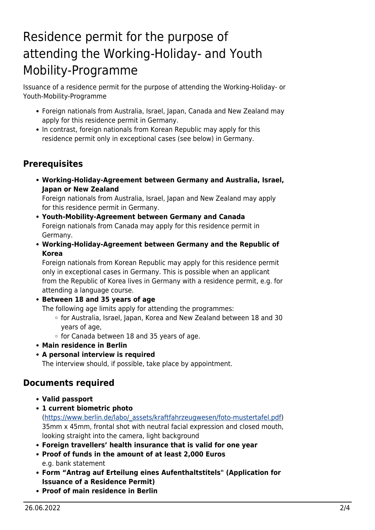# <span id="page-1-0"></span>Residence permit for the purpose of attending the Working-Holiday- and Youth Mobility-Programme

Issuance of a residence permit for the purpose of attending the Working-Holiday- or Youth-Mobility-Programme

- Foreign nationals from Australia, Israel, Japan, Canada and New Zealand may apply for this residence permit in Germany.
- In contrast, foreign nationals from Korean Republic may apply for this residence permit only in exceptional cases (see below) in Germany.

## <span id="page-1-1"></span>**Prerequisites**

**Working-Holiday-Agreement between Germany and Australia, Israel, Japan or New Zealand**

Foreign nationals from Australia, Israel, Japan and New Zealand may apply for this residence permit in Germany.

- **Youth-Mobility-Agreement between Germany and Canada** Foreign nationals from Canada may apply for this residence permit in Germany.
- **Working-Holiday-Agreement between Germany and the Republic of Korea**

Foreign nationals from Korean Republic may apply for this residence permit only in exceptional cases in Germany. This is possible when an applicant from the Republic of Korea lives in Germany with a residence permit, e.g. for attending a language course.

**Between 18 and 35 years of age**

The following age limits apply for attending the programmes:

- $\circ$  for Australia, Israel, Japan, Korea and New Zealand between 18 and 30 years of age,
- $\circ$  for Canada between 18 and 35 years of age.
- **Main residence in Berlin**
- **A personal interview is required**

The interview should, if possible, take place by appointment.

### <span id="page-1-2"></span>**Documents required**

- **Valid passport**
- **1 current biometric photo** ([https://www.berlin.de/labo/\\_assets/kraftfahrzeugwesen/foto-mustertafel.pdf\)](https://www.berlin.de/labo/_assets/kraftfahrzeugwesen/foto-mustertafel.pdf) 35mm x 45mm, frontal shot with neutral facial expression and closed mouth, looking straight into the camera, light background
- **Foreign travellers' health insurance that is valid for one year**
- **Proof of funds in the amount of at least 2,000 Euros** e.g. bank statement
- **Form "Antrag auf Erteilung eines Aufenthaltstitels" (Application for Issuance of a Residence Permit)**
- **Proof of main residence in Berlin**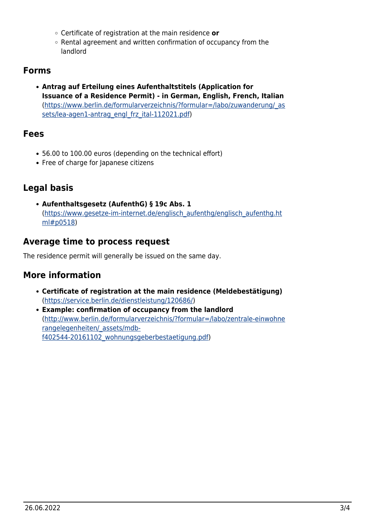- Certificate of registration at the main residence **or**
- Rental agreement and written confirmation of occupancy from the landlord

### <span id="page-2-0"></span>**Forms**

**Antrag auf Erteilung eines Aufenthaltstitels (Application for Issuance of a Residence Permit) - in German, English, French, Italian** ([https://www.berlin.de/formularverzeichnis/?formular=/labo/zuwanderung/\\_as](https://www.berlin.de/formularverzeichnis/?formular=/labo/zuwanderung/_assets/lea-agen1-antrag_engl_frz_ital-112021.pdf) [sets/lea-agen1-antrag\\_engl\\_frz\\_ital-112021.pdf](https://www.berlin.de/formularverzeichnis/?formular=/labo/zuwanderung/_assets/lea-agen1-antrag_engl_frz_ital-112021.pdf))

#### <span id="page-2-1"></span>**Fees**

- 56.00 to 100.00 euros (depending on the technical effort)
- Free of charge for Japanese citizens

# <span id="page-2-2"></span>**Legal basis**

**Aufenthaltsgesetz (AufenthG) § 19c Abs. 1** ([https://www.gesetze-im-internet.de/englisch\\_aufenthg/englisch\\_aufenthg.ht](https://www.gesetze-im-internet.de/englisch_aufenthg/englisch_aufenthg.html#p0518) [ml#p0518\)](https://www.gesetze-im-internet.de/englisch_aufenthg/englisch_aufenthg.html#p0518)

### <span id="page-2-3"></span>**Average time to process request**

The residence permit will generally be issued on the same day.

### <span id="page-2-4"></span>**More information**

- **Certificate of registration at the main residence (Meldebestätigung)** (<https://service.berlin.de/dienstleistung/120686/>)
- **Example: confirmation of occupancy from the landlord** ([http://www.berlin.de/formularverzeichnis/?formular=/labo/zentrale-einwohne](http://www.berlin.de/formularverzeichnis/?formular=/labo/zentrale-einwohnerangelegenheiten/_assets/mdb-f402544-20161102_wohnungsgeberbestaetigung.pdf) [rangelegenheiten/\\_assets/mdb](http://www.berlin.de/formularverzeichnis/?formular=/labo/zentrale-einwohnerangelegenheiten/_assets/mdb-f402544-20161102_wohnungsgeberbestaetigung.pdf)[f402544-20161102\\_wohnungsgeberbestaetigung.pdf\)](http://www.berlin.de/formularverzeichnis/?formular=/labo/zentrale-einwohnerangelegenheiten/_assets/mdb-f402544-20161102_wohnungsgeberbestaetigung.pdf)